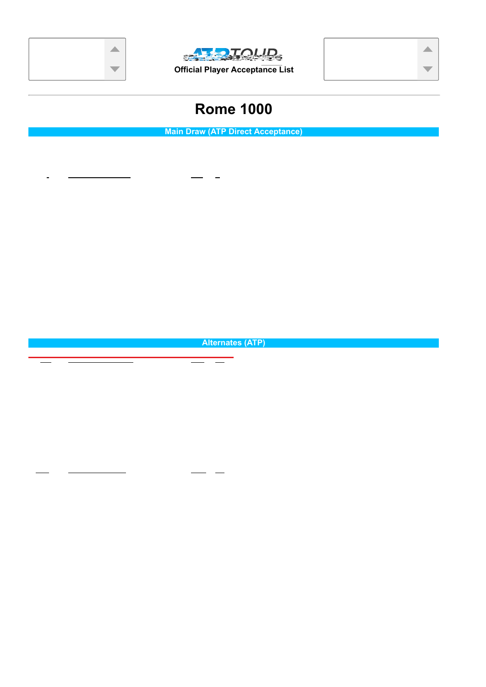## Provisional Wildcards





Possible Special Exempts: 1 of 1



\* Indicates accepted Special Exempt

## **Rome 1000**

**Official Player Acceptance List**

**ALLE DIQUID.** 

| Date: 5/9/2022   |                                 |                |              | Original Cut Off: 42                     |                             | Ranking Date: 4/11/2022 |                |
|------------------|---------------------------------|----------------|--------------|------------------------------------------|-----------------------------|-------------------------|----------------|
|                  |                                 |                |              | <b>Main Draw (ATP Direct Acceptance)</b> |                             |                         |                |
|                  | Alcaraz, Carlos                 | <b>ESP</b>     | 11           |                                          | Kecmanovic, Miomir          | <b>SRB</b>              | 38             |
|                  | Auger-Aliassime, Felix          | CAN            | 9            |                                          | Khachanov, Karen            | <b>RUS</b>              | 24             |
|                  | Basilashvili, Nikoloz           | <b>GEO</b>     | 20           |                                          | Krajinovic, Filip           | <b>SRB</b>              | 39             |
|                  | Bautista Agut, Roberto          | <b>ESP</b>     | 18           |                                          | Medvedev, Daniil            | <b>RUS</b>              | $\overline{2}$ |
|                  | Berrettini, Matteo              | <b>HTA</b>     | 6            |                                          | Monfils, Gael               | <b>FRA</b>              | 21             |
|                  | Brooksby, Jenson                | <b>USA</b>     | 35           |                                          | Nadal, Rafael               | <b>ESP</b>              | $\overline{4}$ |
|                  | Bublik, Alexander               | <b>KAZ</b>     | 36           |                                          | Norrie, Cameron             | <b>GBR</b>              | 10             |
|                  | Carreno Busta, Pablo            | <b>ESP</b>     | 19           |                                          | Opelka, Reilly              | <b>USA</b>              | 17             |
|                  | Cilic, Marin                    | <b>CRO</b>     | 22           |                                          | Paul, Tommy                 | <b>USA</b>              | 33             |
| $^\copyright$    | Coric, Borna                    | <b>CRO</b>     | 27           |                                          | Ramos-Vinolas, Albert       | <b>ESP</b>              | 37             |
|                  | de Minaur, Alex                 | <b>AUS</b>     | 25           |                                          | Rublev, Andrey              | <b>RUS</b>              | 8              |
|                  | Delbonis, Federico              | <b>ARG</b>     | 34           |                                          | Ruud, Casper                | <b>NOR</b>              | $\overline{7}$ |
|                  | Dimitrov, Grigor                | <b>BUL</b>     | 29           |                                          | Schwartzman, Diego          | <b>ARG</b>              | 16             |
|                  | Djokovic, Novak                 | <b>SRB</b>     | $\mathbf{1}$ |                                          | Shapovalov, Denis           | CAN                     | 15             |
|                  | Evans, Daniel                   | <b>GBR</b>     | 27           |                                          | Sinner, Jannik              | <b>ITA</b>              | 12             |
|                  | Fognini, Fabio                  | <b>ITA</b>     | 32           |                                          | Sonego, Lorenzo             | <b>ITA</b>              | 26             |
|                  | Fritz, Taylor                   | <b>USA</b>     | 13           | @                                        | Thiem, Dominic              | <b>AUT</b>              | 6              |
|                  | Garin, Cristian                 | <b>CHI</b>     | 31           |                                          | Tiafoe, Frances             | <b>USA</b>              | 28             |
|                  | Harris, Lloyd                   | <b>RSA</b>     | 40           |                                          | Tsitsipas, Stefanos         | <b>GRE</b>              | 5              |
|                  | Hurkacz, Hubert                 | <b>POL</b>     | 14           |                                          | van de Zandschulp, Botic    | <b>NED</b>              | 41             |
|                  | Isner, John                     | <b>USA</b>     | 23           | @                                        | Wawrinka, Stan              | SUI                     | 22             |
|                  | Karatsev, Aslan                 | <b>RUS</b>     | 30           |                                          | Zverev, Alexander           | <b>GER</b>              | $\mathbf{3}$   |
|                  |                                 |                |              | <b>Alternates (ATP)</b>                  |                             |                         |                |
| $\overline{1}$ . | Korda, Sebastian(1)             | <b>USA</b>     | 42           | 55.                                      | Tabilo, Alejandro(1)        | <b>CHI</b>              | 97             |
| 2#               | Federer, Roger(1)               | S <sup>H</sup> | 43           | 56.                                      | Popyrin, Alexei(1)          | <b>AUS</b>              | 98             |
| 3.               | Ivashka, Ilya(1)                | <b>BLR</b>     | 44           | 57.                                      | Lehecka, Jiri(1)            | <b>CZE</b>              | 99             |
| 4.               | Martinez, Pedro(1)              | <b>ESP</b>     | 45           | 58.                                      | Cecchinato, Marco(1)        | <b>ITA</b>              | 100            |
| 5.               | Davidovich Fokina, Alejandro(1) | <b>ESP</b>     | 46           | 59.                                      | Gojowczyk, Peter(1)         | <b>GER</b>              | 101            |
| 6.               | Goffin, David(1)                | <b>BEL</b>     | 47           | 60.                                      | Halys, Quentin(1)           | <b>FRA</b>              | 102            |
| 7.               | Humbert, Ugo(1)                 | <b>FRA</b>     | 48           | 61.                                      | Cuevas, Pablo(1)            | <b>URU</b>              | 103            |
| 8.               | Lajovic, Dusan(1)               | <b>SRB</b>     | 49           | 62.#                                     | Pella, Guido(1)             | <b>ARG</b>              | 104            |
| 9.               | Molcan, Alex(1)                 | <b>SVK</b>     | 50           | 63.                                      | Munar, Jaume(1)             | <b>ESP</b>              | 105            |
| 10.              | Cerundolo, Francisco(1)         | ARG            | 52           | 64.                                      | Daniel, Taro(1)             | <b>JPN</b>              | 106            |
| 11.              | McDonald, Mackenzie(1)          | <b>USA</b>     | 53           | 65.                                      | Johnson, Steve(1)           | <b>USA</b>              | 107            |
| 12.              | Giron, Marcos(1)                | <b>USA</b>     | 54           | 66.                                      | Anderson, Kevin(1)          | <b>RSA</b>              | 108            |
| 13.              | Coria, Federico(1)              | ARG            | 55           | 67.                                      | Gombos, Norbert(1)          | <b>SVK</b>              | 109            |
| <del>14.</del>   | Nishikori, Kei(1)               | <b>JPN</b>     | 56           | 68.                                      | Varillas, Juan Pablo(1)     | <b>PER</b>              | 110            |
| 15.              | Fucsovics, Marton(1)            | HUN            | 57           | 69.                                      | Travaglia, Stefano(1)       | ITA                     | 111            |
| 16.              | Griekspoor, Tallon(1)           | <b>NED</b>     | 58           | 70.                                      | Mager, Gianluca(1)          | <b>ITA</b>              | 112            |
| 17.              | Rinderknech, Arthur(1)          | <b>FRA</b>     | 59           | 71.                                      | Moutet, Corentin(1)         | <b>FRA</b>              | 113            |
| 18.              | Struff, Jan-Lennard(1)          | <b>GER</b>     | 60           | 72.                                      | Monteiro, Thiago(1)         | <b>BRA</b>              | 114            |
| 19.              | Paire, Benoit(1)                | <b>FRA</b>     | 61           | 73.                                      | Querrey, Sam(1)             | <b>USA</b>              | 115            |
| 20.              | Djere, Laslo(1)                 | <b>SRB</b>     | 62           | 74.                                      | Cerundolo, Juan Manuel(1)   | ARG                     | 116            |
| 21.              | Bonzi, Benjamin(1)              | <b>FRA</b>     | 63           | 75.                                      | Hanfmann, Yannick(1)        | <b>GER</b>              | 117            |
| 22.              | Koepfer, Dominik(1)             | <b>GER</b>     | 64           | 76.                                      | Albot, Radu(1)              | <b>MDA</b>              | 118            |
| 23.              | Gaston, Hugo(1)                 | <b>FRA</b>     | 65           | 77.                                      | Lopez, Feliciano(1)         | <b>ESP</b>              | 119            |
| 24.              | Baez, Sebastian(1)              | <b>ARG</b>     | 66           | 78.                                      | Verdasco, Fernando(1)       | <b>ESP</b>              | 120            |
| 25.              | Altmaier, Daniel(1)             | <b>GER</b>     | 67           | 79.                                      | Kozlov, Stefan(1)           | <b>USA</b>              | 121            |
| 26.              | Mannarino, Adrian(1)            | <b>FRA</b>     | 68           | 80.                                      | Draper, Jack(1)             | <b>GBR</b>              | 122            |
| 27.              | Cressy, Maxime(1)               | <b>USA</b>     | 69           | 81.                                      | Zapata Miralles, Bernabe(1) | <b>ESP</b>              | 123            |
| 28.              | Kwon, Soonwoo(1)                | <b>KOR</b>     | 70           | 82.                                      | Moraing, Mats(1)            | <b>GER</b>              | 124            |
| 29.              | Duckworth, James(1)             | <b>AUS</b>     | 71           | 83.                                      | Tseng, Chun-hsin(1)         | <b>TPE</b>              | 125            |
| 30.              | Otte, Oscar(1)                  | <b>GER</b>     | 72           | 84.                                      | Kohlschreiber, Philipp(1)   | <b>GER</b>              | 126            |
| 31.              | Vesely, Jiri(1)                 | <b>CZE</b>     | 73           | 85.                                      | Vukic, Aleksandar(1)        | <b>AUS</b>              | 127            |
| 32.              | Millman, John(1)                | <b>AUS</b>     | 74           | 86.                                      | Galan, Daniel Elahi(1)      | COL                     | 128            |
| 33.              | Majchrzak, Kamil(1)             | POL            | 75           | 87.                                      | Broady, Liam(1)             | <b>GBR</b>              | 129            |
| 34.              | Nakashima, Brandon(1)           | <b>USA</b>     | 76           | 88.                                      | Ymer, Elias(1)              | <b>SWE</b>              | 130            |

ps.atppz.com/eceas/ECEAS-Report-Data.asp?TournamentID=2022-416 1/2